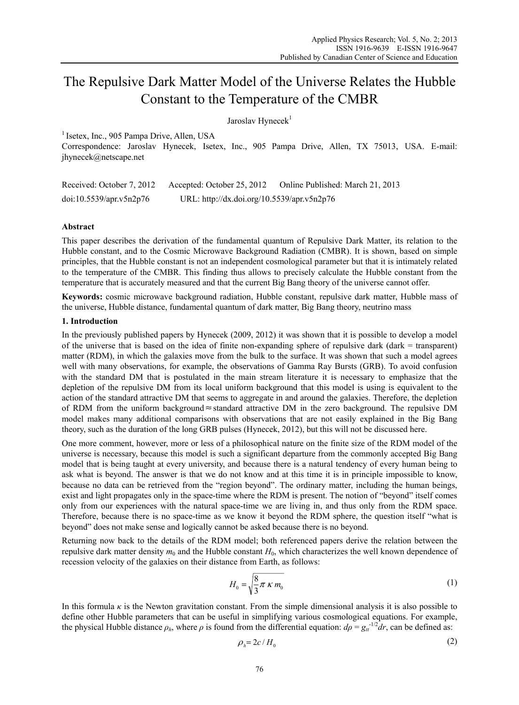# The Repulsive Dark Matter Model of the Universe Relates the Hubble Constant to the Temperature of the CMBR

Jaroslav Hynecek<sup>1</sup>

<sup>1</sup> Isetex, Inc., 905 Pampa Drive, Allen, USA

Correspondence: Jaroslav Hynecek, Isetex, Inc., 905 Pampa Drive, Allen, TX 75013, USA. E-mail: jhynecek@netscape.net

| Received: October 7, 2012 | Accepted: October 25, 2012                 | Online Published: March 21, 2013 |  |
|---------------------------|--------------------------------------------|----------------------------------|--|
| doi:10.5539/apr.v5n2p76   | URL: http://dx.doi.org/10.5539/apr.v5n2p76 |                                  |  |

# **Abstract**

This paper describes the derivation of the fundamental quantum of Repulsive Dark Matter, its relation to the Hubble constant, and to the Cosmic Microwave Background Radiation (CMBR). It is shown, based on simple principles, that the Hubble constant is not an independent cosmological parameter but that it is intimately related to the temperature of the CMBR. This finding thus allows to precisely calculate the Hubble constant from the temperature that is accurately measured and that the current Big Bang theory of the universe cannot offer.

**Keywords:** cosmic microwave background radiation, Hubble constant, repulsive dark matter, Hubble mass of the universe, Hubble distance, fundamental quantum of dark matter, Big Bang theory, neutrino mass

# **1. Introduction**

In the previously published papers by Hynecek (2009, 2012) it was shown that it is possible to develop a model of the universe that is based on the idea of finite non-expanding sphere of repulsive dark (dark = transparent) matter (RDM), in which the galaxies move from the bulk to the surface. It was shown that such a model agrees well with many observations, for example, the observations of Gamma Ray Bursts (GRB). To avoid confusion with the standard DM that is postulated in the main stream literature it is necessary to emphasize that the depletion of the repulsive DM from its local uniform background that this model is using is equivalent to the action of the standard attractive DM that seems to aggregate in and around the galaxies. Therefore, the depletion of RDM from the uniform background  $\approx$  standard attractive DM in the zero background. The repulsive DM model makes many additional comparisons with observations that are not easily explained in the Big Bang theory, such as the duration of the long GRB pulses (Hynecek, 2012), but this will not be discussed here.

One more comment, however, more or less of a philosophical nature on the finite size of the RDM model of the universe is necessary, because this model is such a significant departure from the commonly accepted Big Bang model that is being taught at every university, and because there is a natural tendency of every human being to ask what is beyond. The answer is that we do not know and at this time it is in principle impossible to know, because no data can be retrieved from the "region beyond". The ordinary matter, including the human beings, exist and light propagates only in the space-time where the RDM is present. The notion of "beyond" itself comes only from our experiences with the natural space-time we are living in, and thus only from the RDM space. Therefore, because there is no space-time as we know it beyond the RDM sphere, the question itself "what is beyond" does not make sense and logically cannot be asked because there is no beyond.

Returning now back to the details of the RDM model; both referenced papers derive the relation between the repulsive dark matter density  $m_0$  and the Hubble constant  $H_0$ , which characterizes the well known dependence of recession velocity of the galaxies on their distance from Earth, as follows:

$$
H_0 = \sqrt{\frac{8}{3}\pi \kappa m_0} \tag{1}
$$

In this formula  $\kappa$  is the Newton gravitation constant. From the simple dimensional analysis it is also possible to define other Hubble parameters that can be useful in simplifying various cosmological equations. For example, the physical Hubble distance  $\rho_h$ , where  $\rho$  is found from the differential equation:  $d\rho = g_u^{-1/2} dr$ , can be defined as:

$$
\rho_h = 2c/H_0 \tag{2}
$$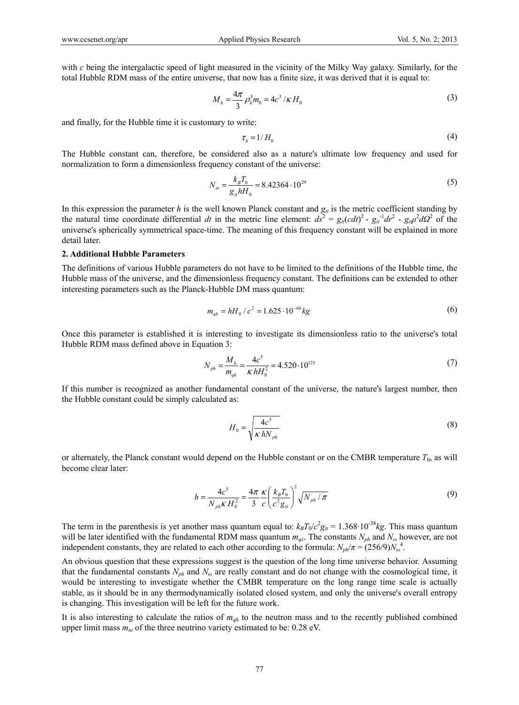with *c* being the intergalactic speed of light measured in the vicinity of the Milky Way galaxy. Similarly, for the total Hubble RDM mass of the entire universe, that now has a finite size, it was derived that it is equal to:

$$
M_h = \frac{4\pi}{3} \rho_h^3 m_0 = 4c^3 / \kappa H_0
$$
\n(3)

and finally, for the Hubble time it is customary to write:

$$
\tau_h = 1/H_0 \tag{4}
$$

The Hubble constant can, therefore, be considered also as a nature's ultimate low frequency and used for normalization to form a dimensionless frequency constant of the universe:

$$
N_{\omega} = \frac{k_B T_0}{g_u h H_0} = 8.42364 \cdot 10^{29} \tag{5}
$$

In this expression the parameter h is the well known Planck constant and  $g_t$  is the metric coefficient standing by the natural time coordinate differential *dt* in the metric line element:  $ds^2 = g_{tt}(c dt)^2 - g_{tt}t^2 dr^2 - g_{tt}t^2 dQ^2$  of the universe's spherically symmetrical space-time. The meaning of this frequency constant will be explained in more detail later.

### **2. Additional Hubble Parameters**

The definitions of various Hubble parameters do not have to be limited to the definitions of the Hubble time, the Hubble mass of the universe, and the dimensionless frequency constant. The definitions can be extended to other interesting parameters such as the Planck-Hubble DM mass quantum:

$$
m_{gh} = hH_0 / c^2 = 1.625 \cdot 10^{-68} kg
$$
 (6)

Once this parameter is established it is interesting to investigate its dimensionless ratio to the universe's total Hubble RDM mass defined above in Equation 3:

$$
N_{ph} = \frac{M_h}{m_{gh}} = \frac{4c^5}{\kappa hH_0^2} = 4.520 \cdot 10^{121}
$$
 (7)

If this number is recognized as another fundamental constant of the universe, the nature's largest number, then the Hubble constant could be simply calculated as:

$$
H_0 = \sqrt{\frac{4c^5}{\kappa h N_{ph}}}
$$
 (8)

or alternately, the Planck constant would depend on the Hubble constant or on the CMBR temperature  $T_0$ , as will become clear later:

$$
h = \frac{4c^5}{N_{ph} \kappa H_0^2} = \frac{4\pi}{3} \frac{\kappa}{c} \left(\frac{k_B T_0}{c^2 g_u}\right)^2 \sqrt{N_{ph} / \pi}
$$
(9)

The term in the parenthesis is yet another mass quantum equal to:  $k_B T_0/c^2 g_t = 1.368 \cdot 10^{-38} kg$ . This mass quantum will be later identified with the fundamental RDM mass quantum  $m_{q\lambda}$ . The constants  $N_{ph}$  and  $N_{\omega}$  however, are not independent constants, they are related to each other according to the formula:  $N_{ph}/\pi = (256/9)N_{\omega}^4$ .

An obvious question that these expressions suggest is the question of the long time universe behavior. Assuming that the fundamental constants  $N_{ph}$  and  $N_{\omega}$  are really constant and do not change with the cosmological time, it would be interesting to investigate whether the CMBR temperature on the long range time scale is actually stable, as it should be in any thermodynamically isolated closed system, and only the universe's overall entropy is changing. This investigation will be left for the future work.

It is also interesting to calculate the ratios of *mqh* to the neutron mass and to the recently published combined upper limit mass  $m_{ni}$  of the three neutrino variety estimated to be: 0.28 eV.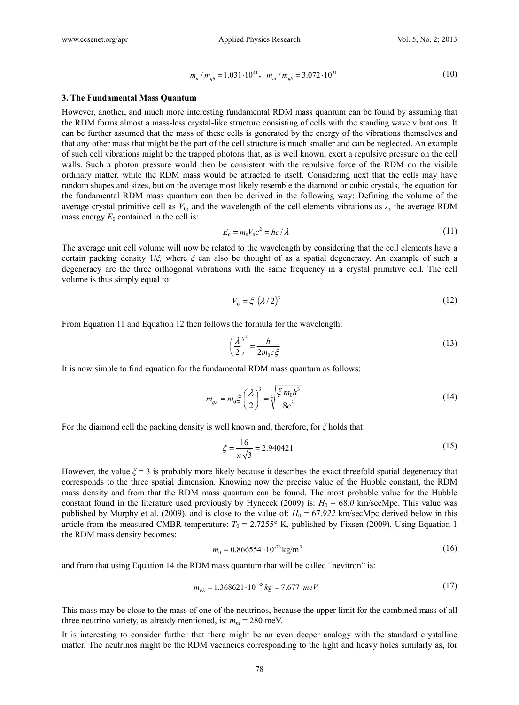$$
m_n / m_{gh} = 1.031 \cdot 10^{41}, \quad m_{ni} / m_{gh} = 3.072 \cdot 10^{31} \tag{10}
$$

#### **3. The Fundamental Mass Quantum**

However, another, and much more interesting fundamental RDM mass quantum can be found by assuming that the RDM forms almost a mass-less crystal-like structure consisting of cells with the standing wave vibrations. It can be further assumed that the mass of these cells is generated by the energy of the vibrations themselves and that any other mass that might be the part of the cell structure is much smaller and can be neglected. An example of such cell vibrations might be the trapped photons that, as is well known, exert a repulsive pressure on the cell walls. Such a photon pressure would then be consistent with the repulsive force of the RDM on the visible ordinary matter, while the RDM mass would be attracted to itself. Considering next that the cells may have random shapes and sizes, but on the average most likely resemble the diamond or cubic crystals, the equation for the fundamental RDM mass quantum can then be derived in the following way: Defining the volume of the average crystal primitive cell as  $V_0$ , and the wavelength of the cell elements vibrations as  $\lambda$ , the average RDM mass energy  $E_0$  contained in the cell is:

$$
E_0 = m_0 V_0 c^2 = hc/\lambda \tag{11}
$$

The average unit cell volume will now be related to the wavelength by considering that the cell elements have a certain packing density 1/*ξ,* where *ξ* can also be thought of as a spatial degeneracy. An example of such a degeneracy are the three orthogonal vibrations with the same frequency in a crystal primitive cell. The cell volume is thus simply equal to:

$$
V_0 = \xi \left(\lambda/2\right)^3 \tag{12}
$$

From Equation 11 and Equation 12 then follows the formula for the wavelength:

$$
\left(\frac{\lambda}{2}\right)^4 = \frac{h}{2m_0c\xi} \tag{13}
$$

It is now simple to find equation for the fundamental RDM mass quantum as follows:

$$
m_{q\lambda} = m_0 \xi \left(\frac{\lambda}{2}\right)^3 = \sqrt[4]{\frac{\xi m_0 h^3}{8c^3}}
$$
 (14)

For the diamond cell the packing density is well known and, therefore, for *ξ* holds that:

$$
\xi = \frac{16}{\pi\sqrt{3}} = 2.940421\tag{15}
$$

However, the value  $\xi = 3$  is probably more likely because it describes the exact threefold spatial degeneracy that corresponds to the three spatial dimension. Knowing now the precise value of the Hubble constant, the RDM mass density and from that the RDM mass quantum can be found. The most probable value for the Hubble constant found in the literature used previously by Hynecek (2009) is:  $H_0 = 68.0$  km/secMpc. This value was published by Murphy et al. (2009), and is close to the value of:  $H_0 = 67.922$  km/secMpc derived below in this article from the measured CMBR temperature:  $T_0 = 2.7255$ ° K, published by Fixsen (2009). Using Equation 1 the RDM mass density becomes:

$$
m_0 = 0.866554 \cdot 10^{-26} \,\text{kg/m}^3 \tag{16}
$$

and from that using Equation 14 the RDM mass quantum that will be called "nevitron" is:

$$
m_{q\lambda} = 1.368621 \cdot 10^{-38} \, kg = 7.677 \, meV \tag{17}
$$

This mass may be close to the mass of one of the neutrinos, because the upper limit for the combined mass of all three neutrino variety, as already mentioned, is:  $m_{ni}$  = 280 meV.

It is interesting to consider further that there might be an even deeper analogy with the standard crystalline matter. The neutrinos might be the RDM vacancies corresponding to the light and heavy holes similarly as, for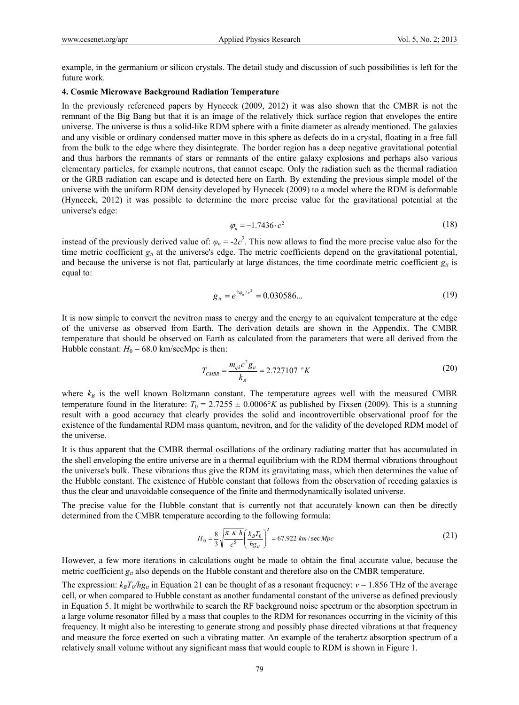example, in the germanium or silicon crystals. The detail study and discussion of such possibilities is left for the future work.

#### **4. Cosmic Microwave Background Radiation Temperature**

In the previously referenced papers by Hynecek (2009, 2012) it was also shown that the CMBR is not the remnant of the Big Bang but that it is an image of the relatively thick surface region that envelopes the entire universe. The universe is thus a solid-like RDM sphere with a finite diameter as already mentioned. The galaxies and any visible or ordinary condensed matter move in this sphere as defects do in a crystal, floating in a free fall from the bulk to the edge where they disintegrate. The border region has a deep negative gravitational potential and thus harbors the remnants of stars or remnants of the entire galaxy explosions and perhaps also various elementary particles, for example neutrons, that cannot escape. Only the radiation such as the thermal radiation or the GRB radiation can escape and is detected here on Earth. By extending the previous simple model of the universe with the uniform RDM density developed by Hynecek (2009) to a model where the RDM is deformable (Hynecek, 2012) it was possible to determine the more precise value for the gravitational potential at the universe's edge:

$$
\varphi_n = -1.7436 \cdot c^2 \tag{18}
$$

instead of the previously derived value of:  $\varphi_n = -2c^2$ . This now allows to find the more precise value also for the time metric coefficient  $g_{tt}$  at the universe's edge. The metric coefficients depend on the gravitational potential, and because the universe is not flat, particularly at large distances, the time coordinate metric coefficient  $g_{tt}$  is equal to:

$$
g_{tt} = e^{2\varphi_n/c^2} = 0.030586...
$$
 (19)

It is now simple to convert the nevitron mass to energy and the energy to an equivalent temperature at the edge of the universe as observed from Earth. The derivation details are shown in the Appendix. The CMBR temperature that should be observed on Earth as calculated from the parameters that were all derived from the Hubble constant:  $H_0 = 68.0$  km/secMpc is then:

$$
T_{CMBR} = \frac{m_{q\lambda}c^2 g_u}{k_B} = 2.727107 \, ^oK \tag{20}
$$

where  $k_B$  is the well known Boltzmann constant. The temperature agrees well with the measured CMBR temperature found in the literature:  $T_0 = 2.7255 \pm 0.0006$ °*K* as published by Fixsen (2009). This is a stunning result with a good accuracy that clearly provides the solid and incontrovertible observational proof for the existence of the fundamental RDM mass quantum, nevitron, and for the validity of the developed RDM model of the universe.

It is thus apparent that the CMBR thermal oscillations of the ordinary radiating matter that has accumulated in the shell enveloping the entire universe are in a thermal equilibrium with the RDM thermal vibrations throughout the universe's bulk. These vibrations thus give the RDM its gravitating mass, which then determines the value of the Hubble constant. The existence of Hubble constant that follows from the observation of receding galaxies is thus the clear and unavoidable consequence of the finite and thermodynamically isolated universe.

The precise value for the Hubble constant that is currently not that accurately known can then be directly determined from the CMBR temperature according to the following formula:

$$
H_0 = \frac{8}{3} \sqrt{\frac{\pi \ \kappa \ h}{c^5}} \left( \frac{k_B T_0}{h g_H} \right)^2 = 67.922 \ \text{km/sec} \ \text{Mpc}
$$
 (21)

However, a few more iterations in calculations ought be made to obtain the final accurate value, because the metric coefficient  $g_t$  also depends on the Hubble constant and therefore also on the CMBR temperature.

The expression:  $k_B T_0/hg_t$  in Equation 21 can be thought of as a resonant frequency:  $v = 1.856$  THz of the average cell, or when compared to Hubble constant as another fundamental constant of the universe as defined previously in Equation 5. It might be worthwhile to search the RF background noise spectrum or the absorption spectrum in a large volume resonator filled by a mass that couples to the RDM for resonances occurring in the vicinity of this frequency. It might also be interesting to generate strong and possibly phase directed vibrations at that frequency and measure the force exerted on such a vibrating matter. An example of the terahertz absorption spectrum of a relatively small volume without any significant mass that would couple to RDM is shown in Figure 1.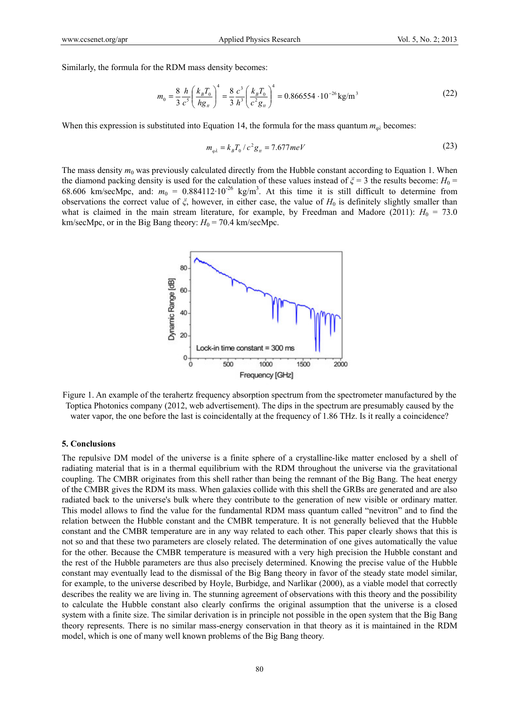Similarly, the formula for the RDM mass density becomes:

$$
m_0 = \frac{8}{3} \frac{h}{c^5} \left(\frac{k_B T_0}{h g_{tt}}\right)^4 = \frac{8}{3} \frac{c^3}{h^3} \left(\frac{k_B T_0}{c^2 g_{tt}}\right)^4 = 0.866554 \cdot 10^{-26} \text{kg/m}^3
$$
 (22)

When this expression is substituted into Equation 14, the formula for the mass quantum  $m_{\alpha\lambda}$  becomes:

$$
m_{q\lambda} = k_B T_0 / c^2 g_u = 7.677 meV
$$
\n(23)

The mass density  $m_0$  was previously calculated directly from the Hubble constant according to Equation 1. When the diamond packing density is used for the calculation of these values instead of  $\zeta = 3$  the results become:  $H_0 =$ 68.606 km/secMpc, and:  $m_0 = 0.884112 \cdot 10^{-26}$  kg/m<sup>3</sup>. At this time it is still difficult to determine from observations the correct value of  $\xi$ , however, in either case, the value of  $H_0$  is definitely slightly smaller than what is claimed in the main stream literature, for example, by Freedman and Madore (2011):  $H_0 = 73.0$ km/secMpc, or in the Big Bang theory:  $H_0 = 70.4$  km/secMpc.



Figure 1. An example of the terahertz frequency absorption spectrum from the spectrometer manufactured by the Toptica Photonics company (2012, web advertisement). The dips in the spectrum are presumably caused by the water vapor, the one before the last is coincidentally at the frequency of 1.86 THz. Is it really a coincidence?

#### **5. Conclusions**

The repulsive DM model of the universe is a finite sphere of a crystalline-like matter enclosed by a shell of radiating material that is in a thermal equilibrium with the RDM throughout the universe via the gravitational coupling. The CMBR originates from this shell rather than being the remnant of the Big Bang. The heat energy of the CMBR gives the RDM its mass. When galaxies collide with this shell the GRBs are generated and are also radiated back to the universe's bulk where they contribute to the generation of new visible or ordinary matter. This model allows to find the value for the fundamental RDM mass quantum called "nevitron" and to find the relation between the Hubble constant and the CMBR temperature. It is not generally believed that the Hubble constant and the CMBR temperature are in any way related to each other. This paper clearly shows that this is not so and that these two parameters are closely related. The determination of one gives automatically the value for the other. Because the CMBR temperature is measured with a very high precision the Hubble constant and the rest of the Hubble parameters are thus also precisely determined. Knowing the precise value of the Hubble constant may eventually lead to the dismissal of the Big Bang theory in favor of the steady state model similar, for example, to the universe described by Hoyle, Burbidge, and Narlikar (2000), as a viable model that correctly describes the reality we are living in. The stunning agreement of observations with this theory and the possibility to calculate the Hubble constant also clearly confirms the original assumption that the universe is a closed system with a finite size. The similar derivation is in principle not possible in the open system that the Big Bang theory represents. There is no similar mass-energy conservation in that theory as it is maintained in the RDM model, which is one of many well known problems of the Big Bang theory.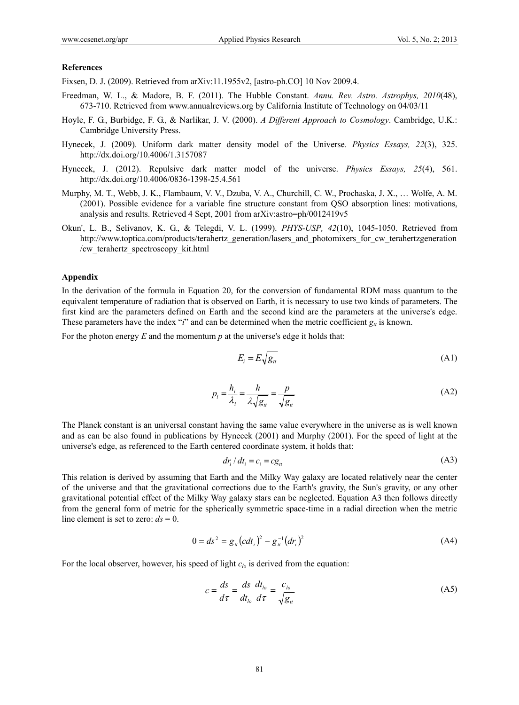#### **References**

Fixsen, D. J. (2009). Retrieved from arXiv:11.1955v2, [astro-ph.CO] 10 Nov 2009.4.

- Freedman, W. L., & Madore, B. F. (2011). The Hubble Constant. *Annu. Rev. Astro. Astrophys, 2010*(48), 673-710. Retrieved from www.annualreviews.org by California Institute of Technology on 04/03/11
- Hoyle, F. G., Burbidge, F. G., & Narlikar, J. V. (2000). *A Different Approach to Cosmology*. Cambridge, U.K.: Cambridge University Press.
- Hynecek, J. (2009). Uniform dark matter density model of the Universe. *Physics Essays, 22*(3), 325. http://dx.doi.org/10.4006/1.3157087
- Hynecek, J. (2012). Repulsive dark matter model of the universe. *Physics Essays, 25*(4), 561. http://dx.doi.org/10.4006/0836-1398-25.4.561
- Murphy, M. T., Webb, J. K., Flambaum, V. V., Dzuba, V. A., Churchill, C. W., Prochaska, J. X., … Wolfe, A. M. (2001). Possible evidence for a variable fine structure constant from QSO absorption lines: motivations, analysis and results. Retrieved 4 Sept, 2001 from arXiv:astro=ph/0012419v5
- Okun', L. B., Selivanov, K. G., & Telegdi, V. L. (1999). *PHYS-USP, 42*(10), 1045-1050. Retrieved from http://www.toptica.com/products/terahertz\_generation/lasers\_and\_photomixers\_for\_cw\_terahertzgeneration /cw\_terahertz\_spectroscopy\_kit.html

#### **Appendix**

In the derivation of the formula in Equation 20, for the conversion of fundamental RDM mass quantum to the equivalent temperature of radiation that is observed on Earth, it is necessary to use two kinds of parameters. The first kind are the parameters defined on Earth and the second kind are the parameters at the universe's edge. These parameters have the index "*i*" and can be determined when the metric coefficient  $g_t$  is known.

For the photon energy *E* and the momentum *p* at the universe's edge it holds that:

$$
E_i = E \sqrt{g_{tt}} \tag{A1}
$$

$$
p_i = \frac{h_i}{\lambda_i} = \frac{h}{\lambda \sqrt{g_u}} = \frac{p}{\sqrt{g_u}}
$$
(A2)

The Planck constant is an universal constant having the same value everywhere in the universe as is well known and as can be also found in publications by Hynecek (2001) and Murphy (2001). For the speed of light at the universe's edge, as referenced to the Earth centered coordinate system, it holds that:

$$
dr_i/dt_i = c_i = cg_u \tag{A3}
$$

This relation is derived by assuming that Earth and the Milky Way galaxy are located relatively near the center of the universe and that the gravitational corrections due to the Earth's gravity, the Sun's gravity, or any other gravitational potential effect of the Milky Way galaxy stars can be neglected. Equation A3 then follows directly from the general form of metric for the spherically symmetric space-time in a radial direction when the metric line element is set to zero:  $ds = 0$ .

$$
0 = ds2 = gu (c dti)2 - gu-1 (dri)2
$$
 (A4)

For the local observer, however, his speed of light  $c_{l_0}$  is derived from the equation:

$$
c = \frac{ds}{d\tau} = \frac{ds}{dt_{lo}} \frac{dt_{lo}}{d\tau} = \frac{c_{lo}}{\sqrt{g_u}}
$$
(A5)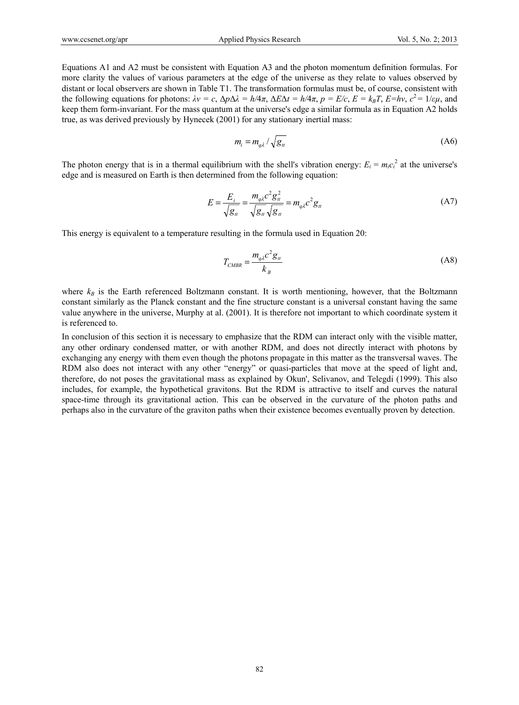Equations A1 and A2 must be consistent with Equation A3 and the photon momentum definition formulas. For more clarity the values of various parameters at the edge of the universe as they relate to values observed by distant or local observers are shown in Table T1. The transformation formulas must be, of course, consistent with the following equations for photons:  $\lambda v = c$ ,  $\Delta p \Delta \lambda = h/4\pi$ ,  $\Delta E \Delta t = h/4\pi$ ,  $p = E/c$ ,  $E = k_B T$ ,  $E = hv$ ,  $c^2 = 1/\epsilon \mu$ , and keep them form-invariant. For the mass quantum at the universe's edge a similar formula as in Equation A2 holds true, as was derived previously by Hynecek (2001) for any stationary inertial mass:

$$
m_i = m_{q\lambda} / \sqrt{g_u} \tag{A6}
$$

The photon energy that is in a thermal equilibrium with the shell's vibration energy:  $E_i = m_i c_i^2$  at the universe's edge and is measured on Earth is then determined from the following equation:

$$
E = \frac{E_i}{\sqrt{g_u}} = \frac{m_{q\lambda}c^2 g_u^2}{\sqrt{g_u} \sqrt{g_u}} = m_{q\lambda}c^2 g_u
$$
 (A7)

This energy is equivalent to a temperature resulting in the formula used in Equation 20:

$$
T_{CMBR} = \frac{m_{q\lambda}c^2 g_{tt}}{k_B} \tag{A8}
$$

where  $k_B$  is the Earth referenced Boltzmann constant. It is worth mentioning, however, that the Boltzmann constant similarly as the Planck constant and the fine structure constant is a universal constant having the same value anywhere in the universe, Murphy at al. (2001). It is therefore not important to which coordinate system it is referenced to.

In conclusion of this section it is necessary to emphasize that the RDM can interact only with the visible matter, any other ordinary condensed matter, or with another RDM, and does not directly interact with photons by exchanging any energy with them even though the photons propagate in this matter as the transversal waves. The RDM also does not interact with any other "energy" or quasi-particles that move at the speed of light and, therefore, do not poses the gravitational mass as explained by Okun', Selivanov, and Telegdi (1999). This also includes, for example, the hypothetical gravitons. But the RDM is attractive to itself and curves the natural space-time through its gravitational action. This can be observed in the curvature of the photon paths and perhaps also in the curvature of the graviton paths when their existence becomes eventually proven by detection.